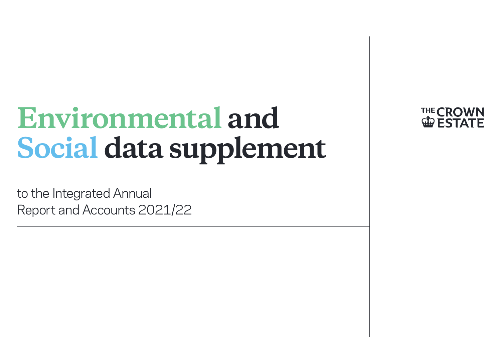# **Environmental and Social data supplement**

to the Integrated Annual Report and Accounts 2021/22 **THE CROWI GIO E STA**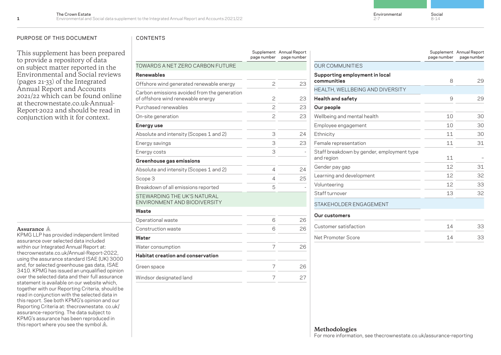Environmental 2-7

#### PURPOSE OF THIS DOCUMENT FOR THIS CONTENTS

This supplement has been prepared to provide a repository of data on subject matter reported in the Environmental and Social reviews (pages 21-33) of the Integrated Annual Report and Accounts 2021/22 which can be found online at thecrownestate.co.uk-Annual-[Report-2022 and should be read i](https://thecrownestate.co.uk/Annual-Report-2022)n conjunction with it for context.

### **Assurance**

KPMG LLP has provided independent limited assurance over selected data included within our Integrated Annual Report at: [thecrownestate.co.uk/Annual-Report-2022](https://thecrownestate.co.uk/annual-report-2022/), using the assurance standard ISAE (UK) 3000 and, for selected greenhouse gas data, ISAE 3410. KPMG has issued an unqualified opinion over the selected data and their full assurance statement is available on our website which, together with our Reporting Criteria, should be read in conjunction with the selected data in this report. See both KPMG's opinion and our [Reporting Criteria at: thecrownestate. co.uk/](https://thecrownestate.co.uk/annual-report-2022/assurance) assurance-reporting. The data subject to KPMG's assurance has been reproduced in this report where you see the symbol  $\mathbb{A}$ .

|                                                                                   | page number    | Supplement Annual Report<br>page number |
|-----------------------------------------------------------------------------------|----------------|-----------------------------------------|
| TOWARDS A NET ZERO CARBON FUTURE                                                  |                |                                         |
| <b>Renewables</b>                                                                 |                |                                         |
| Offshore wind generated renewable energy                                          | $\overline{c}$ | 23                                      |
| Carbon emissions avoided from the generation<br>of offshore wind renewable energy | $\overline{c}$ | 23                                      |
| Purchased renewables                                                              | $\mathbf{Z}$   | 23                                      |
| On-site generation                                                                | $\overline{c}$ | 23                                      |
| Energy use                                                                        |                |                                         |
| Absolute and intensity (Scopes 1 and 2)                                           | 3              | 24                                      |
| Energy savings                                                                    | 3              | 23                                      |
| Energy costs                                                                      | 3              |                                         |
| Greenhouse gas emissions                                                          |                |                                         |
| Absolute and intensity (Scopes 1 and 2)                                           | 4              | 24                                      |
| Scope 3                                                                           | 4              | 25                                      |
| Breakdown of all emissions reported                                               | 5              |                                         |
| STEWARDING THE UK'S NATURAL<br>ENVIRONMENT AND BIODIVERSITY                       |                |                                         |
| Waste                                                                             |                |                                         |
| Operational waste                                                                 | 6              | 26                                      |
| Construction waste                                                                | 6              | 26                                      |
| Water                                                                             |                |                                         |
| Water consumption                                                                 | 7              | 26                                      |
| Habitat creation and conservation                                                 |                |                                         |
| Green space                                                                       | 7              | 26                                      |
| Windsor designated land                                                           | 7              | 27                                      |
|                                                                                   |                |                                         |

|                                                          | page number    | Supplement Annual Report<br>page number |
|----------------------------------------------------------|----------------|-----------------------------------------|
| <b>OUR COMMUNITIES</b>                                   |                |                                         |
| Supporting employment in local<br>communities            | 8              | 29                                      |
| HEALTH, WELLBEING AND DIVERSITY                          |                |                                         |
| <b>Health and safety</b>                                 | 9              | 29                                      |
| Our people                                               |                |                                         |
| Wellbeing and mental health                              | 1 <sub>0</sub> | 30                                      |
| Employee engagement                                      | 10             | 30                                      |
| Ethnicity                                                | 11             | 30                                      |
| Female representation                                    | 11             | 31                                      |
| Staff breakdown by gender, employment type<br>and region | 11             |                                         |
| Gender pay gap                                           | 12             | 31                                      |
| Learning and development                                 | 12             | 32                                      |
| Volunteering                                             | 12             | 33                                      |
| Staff turnover                                           | 13             | 32                                      |
| STAKEHOLDER ENGAGEMENT                                   |                |                                         |
| Our customers                                            |                |                                         |
| Customer satisfaction                                    | 14             | 33                                      |
| Net Promoter Score                                       | 14             | 33                                      |

### **Methodologies**

For more information, see [thecrownestate.co.uk/assurance-reporting](https://www.thecrownestate.co.uk/annual-report-2022/assurance)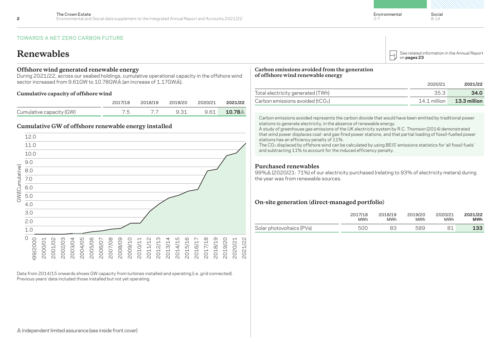### TOWARDS A NET ZERO CARBON FUTURE

### **Renewables**

#### **Offshore wind generated renewable energy**

During 2021/22, across our seabed holdings, cumulative operational capacity in the offshore wind sector increased from 9.61GW to 10.78GW (an increase of 1.17GW ).

#### **Cumulative capacity of offshore wind**

|                          |       | 2017/18 2018/19 2019/20 2020/21 2021/22 |                               |
|--------------------------|-------|-----------------------------------------|-------------------------------|
| Cumulative capacity (GW) | 75 77 | 9.31                                    | 9.61 <b>10.78</b> $\triangle$ |

### **Cumulative GW of offshore renewable energy installed**



Data from 2014/15 onwards shows GW capacity from turbines installed and operating (i.e. grid connected). Previous years' data included those installed but not yet operating.

#### **Carbon emissions avoided from the generation of offshore wind renewable energy**

|                                        | 2020/21                                 | 2021/22      |
|----------------------------------------|-----------------------------------------|--------------|
| Total electricity generated (TWh)      | 35.3                                    | 34.0         |
| Carbon emissions avoided (tCO $_{2}$ ) | $14.1$ million $\overline{\phantom{a}}$ | 13.3 million |

Carbon emissions avoided represents the carbon dioxide that would have been emitted by traditional power stations to generate electricity, in the absence of renewable energy.

A study of greenhouse gas emissions of the UK electricity system by R.C. Thomson (2014) demonstrated that wind power displaces coal- and gas-fired power stations, and that partial loading of fossil-fuelled power stations has an efficiency penalty of 11%.

The CO<sub>2</sub> displaced by offshore wind can be calculated by using BEIS' emissions statistics for 'all fossil fuels' and subtracting 11% to account for the induced efficiency penalty.

### **Purchased renewables**

99% (2020/21: 71%) of our electricity purchased (relating to 93% of electricity meters) during the year was from renewable sources.

### **On-site generation (direct-managed portfolio)**

|                           | 2017/18    | 2018/19    | 2019/20    | 2020/21 | 2021/22 |
|---------------------------|------------|------------|------------|---------|---------|
|                           | <b>MWh</b> | <b>MWh</b> | <b>MWh</b> | MWh     | MWh     |
| Solar photovoltaics (PVs) | 500        |            | 589        |         | 133     |

 $\triangle$  Independent limited assurance (see inside front cover)

Environmental

2-7

on **pages 23**

[See related information in the Annual Report](https://thecrownestate.co.uk/Annual-Report-2022)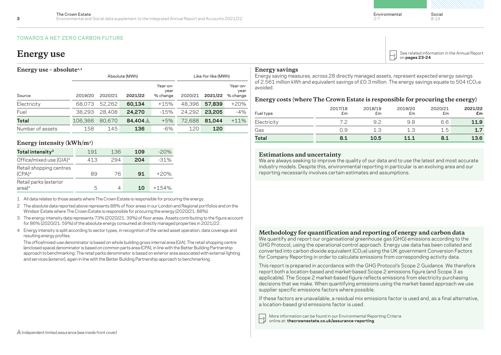### TOWARDS A NET ZERO CARBON FUTURE

### **Energy use – absolute1,2**

|                  |         |         | Absolute (MWh)     | Like-for-like (MWh)          |         |         |                              |
|------------------|---------|---------|--------------------|------------------------------|---------|---------|------------------------------|
| Source           | 2019/20 | 2020/21 | 2021/22            | Year-on-<br>year<br>% change | 2020/21 | 2021/22 | Year-on-<br>year<br>% change |
| Electricity      | 68.073  | 52.262  | 60.134             | $+15%$                       | 48.396  | 57,839  | $+20%$                       |
| Fuel             | 38,293  | 28,408  | 24.270             | $-15%$                       | 24.292  | 23,205  | $-4%$                        |
| Total            | 106.366 | 80.670  | 84.404 $\triangle$ | $+5%$                        | 72.688  | 81.044  | $+11%$                       |
| Number of assets | 158     | 145     | 136                | $-6\%$                       | 120     | 120     |                              |

### **Energy intensity (kWh/m2 )**

| Total intensity <sup>3</sup>                  | 191 | 136 | 109 | $-20%$  |
|-----------------------------------------------|-----|-----|-----|---------|
| Office/mixed use (GIA) <sup>4</sup>           | 413 | 294 | 204 | $-31%$  |
| Retail shopping centres<br>(CPA) <sup>4</sup> | 89  | 76  | 91  | $+20%$  |
| Retail parks (exterior<br>$area)^4$           | h   | 4   | 1 ก | $+154%$ |

1 All data relates to those assets where The Crown Estate is responsible for procuring the energy.

- 2 The absolute data reported above represents 88% of floor areas in our London and Regional portfolios and on the Windsor Estate where The Crown Estate is responsible for procuring the energy (2020/21: 88%).
- 3 The energy intensity data represents 73% (2020/21: 39%) of floor areas. Assets contributing to the figure account for 86% (2020/21: 59%) of the absolute energy consumed at directly managed properties in 2021/22 .
- 4 Energy intensity is split according to sector types, in recognition of the varied asset operation, data coverage and resulting energy profiles.

The office/mixed-use denominator is based on whole building gross internal area (GIA). The retail shopping centre (enclosed space) denominator is based on common parts area (CPA), in line with the Better Building Partnership approach to benchmarking. The retail parks denominator is based on exterior area associated with external lighting and services (exterior), again in line with the Better Building Partnership approach to benchmarking.

Environmental

2-7

 $\textbf{Energy use} \begin{array}{|c|c|c|} \hline \textbf{S} & \textbf{See related information in the Annual Report} \\\hline \textbf{S} & \textbf{on pages 23-24} \\\hline \end{array}$  $\textbf{Energy use} \begin{array}{|c|c|c|} \hline \textbf{S} & \textbf{See related information in the Annual Report} \\\hline \textbf{S} & \textbf{on pages 23-24} \\\hline \end{array}$  $\textbf{Energy use} \begin{array}{|c|c|c|} \hline \textbf{S} & \textbf{See related information in the Annual Report} \\\hline \textbf{S} & \textbf{on pages 23-24} \\\hline \end{array}$ 

### **Energy savings**

Energy saving measures, across 28 directly managed assets, represent expected energy savings of 2.561 million kWh and equivalent savings of £0.3 million. The energy savings equate to 504 tCO2e avoided.

### **Energy costs (where The Crown Estate is responsible for procuring the energy)**

| Fuel type   | 2017/18<br>£m | 2018/19<br>£m | 2019/20<br>£m | 2020/21<br>£m | 2021/22<br>£m |
|-------------|---------------|---------------|---------------|---------------|---------------|
| Electricity |               | 92            | 98            | 6.6           | 11.9          |
| Gas         | 0.9           | 1.3           | 1.3           | 1.5           | 1.7           |
| Total       | 8.1           | 10.5          | 111           | 8.1           | 13.6          |

### **Estimations and uncertainty**

We are always seeking to improve the quality of our data and to use the latest and most accurate industry models. Despite this, environmental reporting in particular is an evolving area and our reporting necessarily involves certain estimates and assumptions.

### **Methodology for quantification and reporting of energy and carbon data**

We quantify and report our organisational greenhouse gas (GHG) emissions according to the GHG Protocol, using the operational control approach. Energy use data has been collated and converted into carbon dioxide equivalent  $(CO_2e)$  using the UK government Conversion Factors for Company Reporting in order to calculate emissions from corresponding activity data.

This report is prepared in accordance with the GHG Protocol's Scope 2 Guidance. We therefore report both a location-based and market-based Scope 2 emissions figure (and Scope 3 as applicable). The Scope 2 market-based figure reflects emissions from electricity purchasing decisions that we make. When quantifying emissions using the market-based approach we use supplier specific emissions factors where possible.

If these factors are unavailable, a residual mix emissions factor is used and, as a final alternative, a location-based grid emissions factor is used.

[More information can be found in our Environmental Reporting Criteria](https://thecrownestate.co.uk/annual-report-2022/assurance) online at: **thecrownestate.co.uk/assurance-reporting**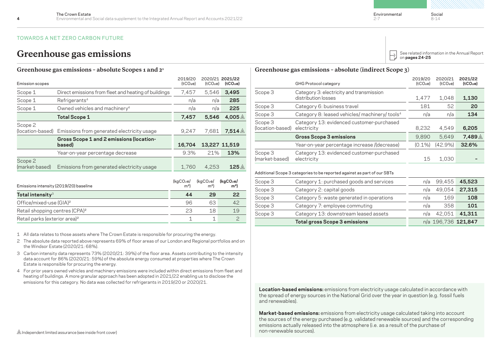### TOWARDS A NET ZERO CARBON FUTURE

|                             | <b>GHG Protocol category</b>                                    | 2019/20<br>(tCO <sub>2</sub> e) | 2020/21<br>(tCO <sub>2</sub> e) | 2021/22<br>(tCO <sub>2</sub> e) |
|-----------------------------|-----------------------------------------------------------------|---------------------------------|---------------------------------|---------------------------------|
| Scope 3                     | Category 3: electricity and transmission<br>distribution losses | 1,477                           | 1,048                           | 1,130                           |
| Scope 3                     | Category 6: business travel                                     | 181                             | 52                              | 20                              |
| Scope 3                     | Category 8: leased vehicles/ machinery/ tools <sup>4</sup>      | n/a                             | n/a                             | 134                             |
| Scope 3<br>(location-based) | Category 13: evidenced customer-purchased<br>electricity        | 8,232                           | 4,549                           | 6,205                           |
|                             | <b>Gross Scope 3 emissions</b>                                  | 9.890                           | 5.649                           | 7.489                           |
|                             | Year-on-year percentage increase /(decrease)                    | $(0.1\%)$                       | (42.9%)                         | 32.6%                           |

Category 13: evidenced customer-purchased

Scope 3 (market-based)

### **Greenhouse gas emissions – absolute Scopes 1 and 21**

| Total intensity $^3$                   |                                                      | 44                                      | 29                                        | 22                                      |
|----------------------------------------|------------------------------------------------------|-----------------------------------------|-------------------------------------------|-----------------------------------------|
| Emissions intensity (2019/20) baseline | (kgCO <sub>2</sub> e)<br>m <sup>2</sup>              | (kgCO <sub>2</sub> e)<br>m <sup>2</sup> | (kgCO <sub>2</sub> e)<br>m <sup>2</sup> ) |                                         |
| Scope 2<br>(market-based)              | Emissions from generated electricity usage           | 1,760                                   | 4.253                                     | 125 $\mathbb A$                         |
|                                        | Year-on-year percentage decrease                     | 9.3%                                    | 21%                                       | 13%                                     |
|                                        | Gross Scope 1 and 2 emissions (location-<br>based)   | 16,704                                  |                                           | 13,227 11,519                           |
| Scope 2<br>(location-based)            | Emissions from generated electricity usage           | 9,247                                   | 7.681                                     | 7.514 $\mathbb A$                       |
|                                        | <b>Total Scope 1</b>                                 | 7,457                                   | 5.546                                     | 4,005 $\triangle$                       |
| Scope 1                                | Owned vehicles and machinery <sup>4</sup>            | n/a                                     | n/a                                       | 225                                     |
| Scope 1                                | Refrigerants <sup>4</sup>                            | n/a                                     | n/a                                       | 285                                     |
| Scope 1                                | Direct emissions from fleet and heating of buildings | 7,457                                   | 5,546                                     | 3,495                                   |
| Emission scopes                        |                                                      | 2019/20<br>(tCO <sub>2</sub> e)         | (tCO <sub>2</sub> e)                      | 2020/21 2021/22<br>(tCO <sub>2</sub> e) |

| <b>IV LAI III LUI IJILY</b>                | -- | __ |
|--------------------------------------------|----|----|
| Office/mixed-use (GIA) <sup>2</sup>        |    |    |
| Retail shopping centres (CPA) <sup>2</sup> |    |    |
| Retail parks (exterior area) <sup>2</sup>  |    |    |

1 All data relates to those assets where The Crown Estate is responsible for procuring the energy.

- 2 The absolute data reported above represents 69% of floor areas of our London and Regional portfolios and on the Windsor Estate (2020/21: 68%).
- 3 Carbon intensity data represents 73% (2020/21: 39%) of the floor area. Assets contributing to the intensity data account for 86% (2020/21: 59%) of the absolute energy consumed at properties where The Crown Estate is responsible for procuring the energy.
- 4 For prior years owned vehicles and machinery emissions were included within direct emissions from fleet and heating of buildings. A more granular approach has been adopted in 2021/22 enabling us to disclose the emissions for this category. No data was collected for refrigerants in 2019/20 or 2020/21.

**Market-based emissions:** emissions from electricity usage calculated taking into account the sources of the energy purchased (e.g. validated renewable sources) and the corresponding emissions actually released into the atmosphere (i.e. as a result of the purchase of

Environmental 2-7

Social 8-14

| Greenhouse gas emissions |                                                                 |                                                              |       |                                                        |                                 |                                                            |                                 | See related information in the Annual Report<br>on pages 24-25 |       |  |
|--------------------------|-----------------------------------------------------------------|--------------------------------------------------------------|-------|--------------------------------------------------------|---------------------------------|------------------------------------------------------------|---------------------------------|----------------------------------------------------------------|-------|--|
|                          | Greenhouse gas emissions - absolute Scopes 1 and 2 <sup>1</sup> |                                                              |       | Greenhouse gas emissions - absolute (indirect Scope 3) |                                 |                                                            |                                 |                                                                |       |  |
| Emission scopes          |                                                                 | 2020/21 2021/22<br>2019/20<br>$(tCO2e)$ $(tCO2e)$<br>(tCO2e) |       |                                                        | 2019/20<br>(tCO <sub>2</sub> e) | 2020/21<br>(tCO2e)                                         | 2021/22<br>(tCO <sub>2</sub> e) |                                                                |       |  |
| Scope 1                  | Direct emissions from fleet and heating of buildings            | '.457                                                        | 5.546 | 3,495                                                  | Scope 3                         | Category 3: electricity and transmission                   |                                 |                                                                |       |  |
| Scope 1                  | Refrigerants <sup>4</sup>                                       | n/a                                                          | n/a   | 285                                                    |                                 | distribution losses                                        | 1.47                            | 1,048                                                          | 1,130 |  |
| Scope 1                  | Owned vehicles and machinery <sup>4</sup>                       | n/a                                                          | n/a   | 225                                                    | Scope 3                         | Category 6: business travel                                | 181                             | 52                                                             | 20    |  |
|                          | <b>Total Scope 1</b>                                            | 7.457                                                        | 5.546 | 4.005 $\mathbb A$                                      | Scope 3                         | Category 8: leased vehicles/ machinery/ tools <sup>4</sup> | n/a                             | n/a                                                            | 134   |  |
|                          |                                                                 |                                                              |       |                                                        |                                 |                                                            |                                 |                                                                |       |  |

|         | <b>Total gross Scope 3 emissions</b>                                     |     | n/a 196,736 121,847 |        |  |
|---------|--------------------------------------------------------------------------|-----|---------------------|--------|--|
| Scope 3 | Category 13: downstream leased assets                                    | n/a | 42.051              | 41.311 |  |
| Scope 3 | Category 7: employee commuting                                           | n/a | 358                 | 101    |  |
| Scope 3 | Category 5: waste generated in operations                                | n/a | 169                 | 108    |  |
| Scope 3 | Category 2: capital goods                                                | n/a | 49.054              | 27.315 |  |
| Scope 3 | Category 1: purchased goods and services                                 | n/a | 99.455              | 45,523 |  |
|         | Additional Scope 3 categories to be reported against as part of our SBTs |     |                     |        |  |

electricity 15 1,030 **–**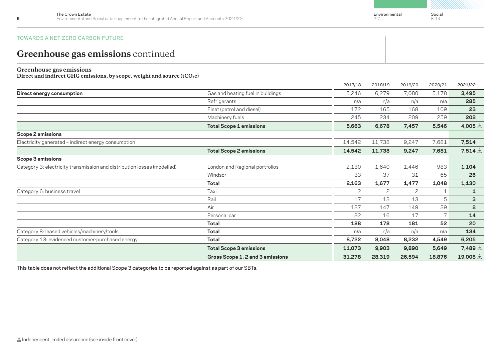Environmental  $2 - 7$ 

Social 8-14

### TOWARDS A NET ZERO CARBON FUTURE

## **Greenhouse gas emissions** continued

### **Greenhouse gas emissions**

Direct and indirect GHG emissions, by scope, weight and source (tCO<sub>2</sub>e)

|                                                                         |                                   | 2017/18      | 2018/19 | 2019/20 | 2020/21        | 2021/22            |
|-------------------------------------------------------------------------|-----------------------------------|--------------|---------|---------|----------------|--------------------|
| Direct energy consumption                                               | Gas and heating fuel in buildings | 5,246        | 6,279   | 7,080   | 5,178          | 3,495              |
|                                                                         | Refrigerants                      | n/a          | n/a     | n/a     | n/a            | 285                |
|                                                                         | Fleet (petrol and diesel)         | 172          | 165     | 168     | 109            | 23                 |
|                                                                         | Machinery fuels                   | 245          | 234     | 209     | 259            | 202                |
|                                                                         | <b>Total Scope 1 emissions</b>    | 5,663        | 6,678   | 7,457   | 5,546          | 4,005 $\triangle$  |
| <b>Scope 2 emissions</b>                                                |                                   |              |         |         |                |                    |
| Electricity generated - indirect energy consumption                     |                                   | 14,542       | 11,738  | 9,247   | 7,681          | 7,514              |
|                                                                         | <b>Total Scope 2 emissions</b>    | 14,542       | 11,738  | 9,247   | 7,681          | 7,514 $\mathbb A$  |
| Scope 3 emissions                                                       |                                   |              |         |         |                |                    |
| Category 3: electricity transmission and distribution losses (modelled) | London and Regional portfolios    | 2,130        | 1,640   | 1,446   | 983            | 1,104              |
|                                                                         | Windsor                           | 33           | 37      | 31      | 65             | 26                 |
|                                                                         | <b>Total</b>                      | 2,163        | 1,677   | 1,477   | 1,048          | 1,130              |
| Category 6: business travel                                             | Taxi                              | $\mathbf{2}$ | 2       | 2       | 1              | 1                  |
|                                                                         | Rail                              | 17           | 13      | 13      | 5              | 3                  |
|                                                                         | Air                               | 137          | 147     | 149     | 39             | $\overline{2}$     |
|                                                                         | Personal car                      | 32           | 16      | 17      | $\overline{7}$ | 14                 |
|                                                                         | <b>Total</b>                      | 188          | 178     | 181     | 52             | 20                 |
| Category 8: leased vehicles/machinery/tools                             | <b>Total</b>                      | n/a          | n/a     | n/a     | n/a            | 134                |
| Category 13: evidenced customer-purchased energy                        | <b>Total</b>                      | 8,722        | 8,048   | 8,232   | 4,549          | 6,205              |
|                                                                         | <b>Total Scope 3 emissions</b>    | 11,073       | 9,903   | 9,890   | 5,649          | 7,489 △            |
|                                                                         | Gross Scope 1, 2 and 3 emissions  | 31,278       | 28,319  | 26,594  | 18,876         | 19,008 $\triangle$ |

This table does not reflect the additional Scope 3 categories to be reported against as part of our SBTs.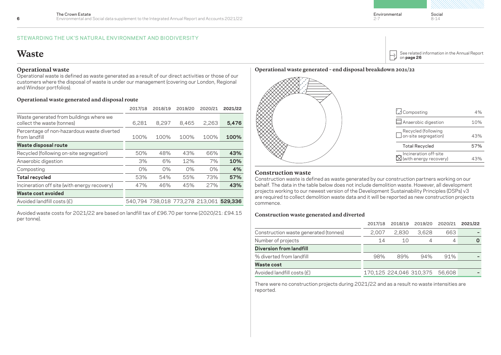#### STEWARDING THE UK'S NATURAL ENVIRONMENT AND BIODIVERSITY

## **Waste**

### **Operational waste**

Operational waste is defined as waste generated as a result of our direct activities or those of our customers where the disposal of waste is under our management (covering our London, Regional and Windsor portfolios).

### **Operational waste generated and disposal route**

|                                                                       | 2017/18 | 2018/19 | 2019/20 | 2020/21                                 | 2021/22 |
|-----------------------------------------------------------------------|---------|---------|---------|-----------------------------------------|---------|
| Waste generated from buildings where we<br>collect the waste (tonnes) | 6,281   | 8,297   | 8,465   | 2.263                                   | 5,476   |
| Percentage of non-hazardous waste diverted<br>from landfill           | 100%    | 100%    | 100%    | 100%                                    | 100%    |
| Waste disposal route                                                  |         |         |         |                                         |         |
| Recycled (following on-site segregation)                              | 50%     | 48%     | 43%     | 66%                                     | 43%     |
| Anaerobic digestion                                                   | 3%      | 6%      | 12%     | 7%                                      | 10%     |
| Composting                                                            | $0\%$   | $0\%$   | $0\%$   | $0\%$                                   | 4%      |
| <b>Total recycled</b>                                                 | 53%     | 54%     | 55%     | 73%                                     | 57%     |
| Incineration off site (with energy recovery)                          | 47%     | 46%     | 45%     | 27%                                     | 43%     |
| Waste cost avoided                                                    |         |         |         |                                         |         |
| Avoided landfill costs (£)                                            |         |         |         | 540,794 738,018 773,278 213,061 529,336 |         |
|                                                                       |         |         |         |                                         |         |

Avoided waste costs for 2021/22 are based on landfill tax of £96.70 per tonne (2020/21: £94.15 per tonne).

### **Operational waste generated – end disposal breakdown 2021/22**

Anaerobic digestion 10% Recycled (following  $\Box$  on-site segregation) 43% Incineration off-site (with energy recovery) 43% Composting 4% Total Recycled 57%

### **Construction waste**

Construction waste is defined as waste generated by our construction partners working on our behalf. The data in the table below does not include demolition waste. However, all development projects working to our newest version of the Development Sustainability Principles (DSPs) v3 are required to collect demolition waste data and it will be reported as new construction projects commence.

### **Construction waste generated and diverted**

|                                       | 2017/18 | 2018/19                 | 2019/20 | 2020/21 | 2021/22 |
|---------------------------------------|---------|-------------------------|---------|---------|---------|
| Construction waste generated (tonnes) | 2.007   | 2.830                   | 3.628   | 663     |         |
| Number of projects                    | 14      | 10                      | 4       |         |         |
| <b>Diversion from landfill</b>        |         |                         |         |         |         |
| % diverted from landfill              | 98%     | 89%                     | 94%     | 91%     |         |
| <b>Waste cost</b>                     |         |                         |         |         |         |
| Avoided landfill costs (£)            |         | 170,125 224,046 310,375 |         | 56.608  |         |
|                                       |         |                         |         |         |         |

There were no construction projects during 2021/22 and as a result no waste intensities are reported.

Environmental

 $\mapsto$ 

2-7

on **page 26**

[See related information in the Annual Report](https://thecrownestate.co.uk/Annual-Report-2022)

Social 8-14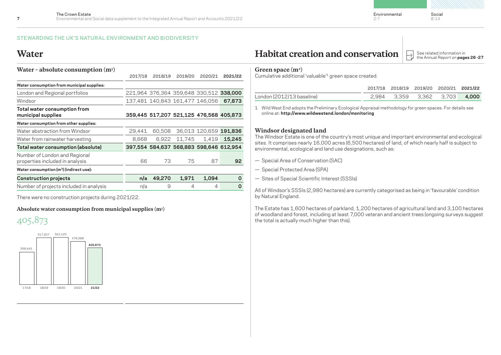Environmental

2-7

### STEWARDING THE UK'S NATURAL ENVIRONMENT AND BIODIVERSITY

### **Water**

| Water - absolute consumption $(m3)$                              |         |         |                                 |                                         |         |
|------------------------------------------------------------------|---------|---------|---------------------------------|-----------------------------------------|---------|
|                                                                  | 2017/18 | 2018/19 | 2019/20                         | 2020/21                                 | 2021/22 |
| Water consumption from municipal supplies:                       |         |         |                                 |                                         |         |
| London and Regional portfolios                                   |         |         |                                 | 221,964 376,364 359,648 330,512 338,000 |         |
| Windsor                                                          |         |         | 137,481 140,843 161,477 146,056 |                                         | 67,873  |
| Total water consumption from<br>municipal supplies               |         |         |                                 | 359,445 517,207 521,125 476,568 405,873 |         |
| Water consumption from other supplies:                           |         |         |                                 |                                         |         |
| Water abstraction from Windsor                                   | 29.441  | 60.508  |                                 | 36,013 120,659 191,836                  |         |
| Water from rainwater harvesting                                  | 8,668   | 6.922   | 11,745                          | 1.419                                   | 15.245  |
| Total water consumption (absolute)                               |         |         |                                 | 397,554 584,637 568,883 598,646 612,954 |         |
| Number of London and Regional<br>properties included in analysis | 66      | 73      | 75                              | 87                                      | 92      |
| Water consumption (m <sup>3</sup> ) (indirect use):              |         |         |                                 |                                         |         |
| <b>Construction projects</b>                                     | n/a     | 49,270  | 1,971                           | 1,094                                   | 0       |
| Number of projects included in analysis                          | n/a     | 9       | 4                               | 4                                       | 0       |

There were no construction projects during 2021/22.

**Absolute water consumption from municipal supplies (m3 )**





**Habitat creation and conservation**  $\Box$ 

See related information in<br>the Annual Report on **pages 26 -27** 

### **Green space (m2 )**

Cumulative additional 'valuable'1 green space created.

|                           |  | 2017/18 2018/19 2019/20 2020/21 2021/22 |  |
|---------------------------|--|-----------------------------------------|--|
| London (2012/13 baseline) |  | 2.984 3.359 3.362 3.703 <b>4.000</b>    |  |

1 Wild West End adopts the Preliminary Ecological Appraisal methodology for green spaces. For details see online at: **http://www.wildwestend.london/monitoring**

### **Windsor designated land**

The Windsor Estate is one of the country's most unique and important environmental and ecological sites. It comprises nearly 16,000 acres (6,500 hectares) of land, of which nearly half is subject to environmental, ecological and land use designations, such as:

- Special Area of Conservation (SAC)
- Special Protected Area (SPA)
- Sites of Special Scientific Interest (SSSls)

All of Windsor's SSSIs (2,980 hectares) are currently categorised as being in 'favourable' condition by Natural England.

The Estate has 1,600 hectares of parkland, 1,200 hectares of agricultural land and 3,100 hectares of woodland and forest, including at least 7,000 veteran and ancient trees (ongoing surveys suggest the total is actually much higher than this).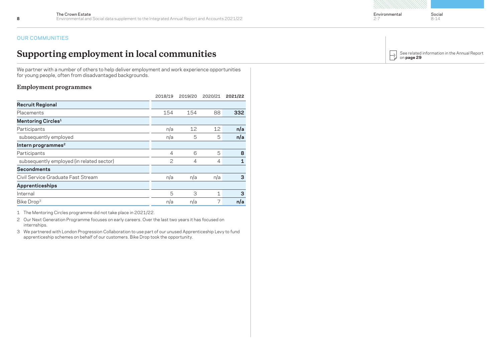### OUR COMMUNITIES

# **Supporting employment in local communities**

We partner with a number of others to help deliver employment and work experience opportunities for young people, often from disadvantaged backgrounds.

### **Employment programmes**

|                                           | 2018/19        | 2019/20        | 2020/21     | 2021/22 |
|-------------------------------------------|----------------|----------------|-------------|---------|
| <b>Recruit Regional</b>                   |                |                |             |         |
| Placements                                | 154            | 154            | 88          | 332     |
| <b>Mentoring Circles1</b>                 |                |                |             |         |
| Participants                              | n/a            | 12             | 12          | n/a     |
| subsequently employed                     | n/a            | 5              | 5           | n/a     |
| Intern programmes <sup>2</sup>            |                |                |             |         |
| Participants                              | $\overline{4}$ | 6              | 5           | 8       |
| subsequently employed (in related sector) | $\mathbf{2}$   | $\overline{4}$ | 4           | 1       |
| <b>Secondments</b>                        |                |                |             |         |
| Civil Service Graduate Fast Stream        | n/a            | n/a            | n/a         | 3       |
| <b>Apprenticeships</b>                    |                |                |             |         |
| Internal                                  | 5              | 3              | $\mathbf 1$ | 3       |
| Bike Drop <sup>3</sup>                    | n/a            | n/a            | 7           | n/a     |

1 The Mentoring Circles programme did not take place in 2021/22.

2 Our Next Generation Programme focuses on early careers. Over the last two years it has focused on internships.

3 We partnered with London Progression Collaboration to use part of our unused Apprenticeship Levy to fund apprenticeship schemes on behalf of our customers. Bike Drop took the opportunity.

[See related information in the Annual Report](https://thecrownestate.co.uk/Annual-Report-2022)  $\rightarrow$ on **page 29**

Social 8-14

2-7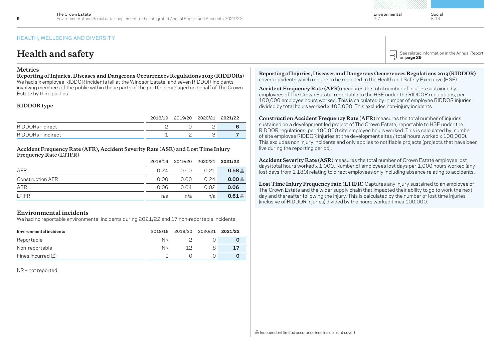### **Health and safety**

### **Metrics**

**Reporting of Injuries, Diseases and Dangerous Occurrences Regulations 2013 (RIDDORs)** We had six employee RIDDOR incidents (all at the Windsor Estate) and seven RIDDOR incidents involving members of the public within those parts of the portfolio managed on behalf of The Crown Estate by third parties.

#### **RIDDOR type**

|                    | 2018/19 2019/20 2020/21 2021/22 |  |
|--------------------|---------------------------------|--|
| RIDDORs - direct   |                                 |  |
| RIDDORs - indirect |                                 |  |

**Accident Frequency Rate (AFR), Accident Severity Rate (ASR) and Lost Time Injury Frequency Rate (LTIFR)**

|                         |      | 2018/19 2019/20 2020/21 2021/22 |      |                    |
|-------------------------|------|---------------------------------|------|--------------------|
| AFR                     | 0.24 | 0.00                            | 0.21 | $0.58\, \triangle$ |
| <b>Construction AFR</b> | 0.00 | 0.00                            | 0.24 | 0.00 <sub>AA</sub> |
| ASR                     | 0.06 | 0.04                            | 0.02 | 0.06               |
| <b>LTIFR</b>            | n/a  | n/a                             | n/a  | $0.61\, \triangle$ |

### **Environmental incidents**

We had no reportable environmental incidents during 2021/22 and 17 non-reportable incidents.

| Environmental incidents |     | 2018/19 2019/20 2020/21 2021/22 |  |
|-------------------------|-----|---------------------------------|--|
| Reportable              | NR. |                                 |  |
| Non-reportable          | NR. |                                 |  |
| Fines incurred $(E)$    |     |                                 |  |

NR – not reported.



[See related information in the Annual Report](https://thecrownestate.co.uk/Annual-Report-2022) on **page 29**

**Reporting of Injuries, Diseases and Dangerous Occurrences Regulations 2013 (RIDDOR)**  covers incidents which require to be reported to the Health and Safety Executive (HSE).

**Accident Frequency Rate (AFR)** measures the total number of injuries sustained by employees of The Crown Estate, reportable to the HSE under the RIDDOR regulations, per 100,000 employee hours worked. This is calculated by: number of employee RIDDOR injuries divided by total hours worked x 100,000. This excludes non-injury incidents.

**Construction Accident Frequency Rate (AFR)** measures the total number of injuries sustained on a development led project of The Crown Estate, reportable to HSE under the RIDDOR regulations, per 100,000 site employee hours worked. This is calculated by: number of site employee RIDDOR injuries at the development sites / total hours worked x 100,000). This excludes non injury incidents and only applies to notifiable projects (projects that have been live during the reporting period).

**Accident Severity Rate (ASR)** measures the total number of Crown Estate employee lost days/total hours worked x 1,000. Number of employees lost days per 1,000 hours worked (any lost days from 1-180) relating to direct employees only including absence relating to accidents.

**Lost Time Injury Frequency rate (LTIFR)** Captures any injury sustained to an employee of The Crown Estate and the wider supply chain that impacted their ability to go to work the next day and thereafter following the injury. This is calculated by the number of lost time injuries (inclusive of RIDDOR injuries) divided by the hours worked times 100,000.

2-7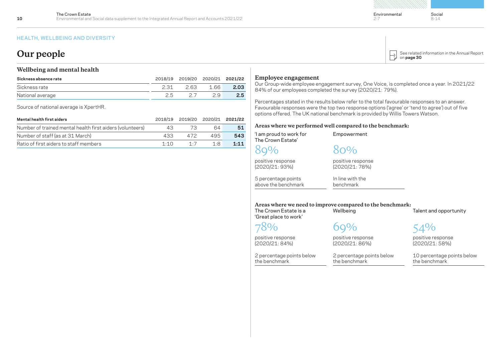### **Our people**

### **Wellbeing and mental health**

| Sickness absence rate | 2018/19 | 2019/20 2020/21 2021/22 |     |      |
|-----------------------|---------|-------------------------|-----|------|
| Sickness rate         | 2.31    | 2.63                    | 166 | 2.03 |
| National average      |         |                         |     | 2.5  |

Source of national average is XpertHR.

| Mental health first aiders                                | 2018/19    | 2019/20 2020/21 2021/22 |     |      |
|-----------------------------------------------------------|------------|-------------------------|-----|------|
| Number of trained mental health first aiders (volunteers) | 43         |                         | 64  | 51   |
| Number of staff (as at 31 March)                          | 433        | 472                     | 495 | 543  |
| Ratio of first aiders to staff members                    | 1.1 $\cap$ | 1.7                     | 1.R | 1:11 |

### **Employee engagement**

Our Group-wide employee engagement survey, One Voice, is completed once a year. In 2021/22 84% of our employees completed the survey (2020/21: 79%).

Percentages stated in the results below refer to the total favourable responses to an answer. Favourable responses were the top two response options ('agree' or 'tend to agree') out of five options offered. The UK national benchmark is provided by Willis Towers Watson.

### **Areas where we performed well compared to the benchmark:**

| I am proud to work for<br>The Crown Estate'    | Empowerment                                                            |                                             |
|------------------------------------------------|------------------------------------------------------------------------|---------------------------------------------|
|                                                | 80%                                                                    |                                             |
| positive response<br>(2020/21: 93%)            | positive response<br>(2020/21: 78%)                                    |                                             |
| 5 percentage points<br>above the benchmark     | In line with the<br>benchmark                                          |                                             |
| The Crown Estate is a<br>'Great place to work' | Areas where we need to improve compared to the benchmark:<br>Wellbeing | Talent and opportunity                      |
|                                                |                                                                        | 54%                                         |
| positive response<br>(2020/21: 84%)            | positive response<br>(2020/21: 86%)                                    | positive response<br>(2020/21: 58%)         |
| 2 percentage points below<br>the benchmark     | 2 percentage points below<br>the benchmark                             | 10 percentage points below<br>the benchmark |
|                                                |                                                                        |                                             |



Social 8-14

 $2 - 7$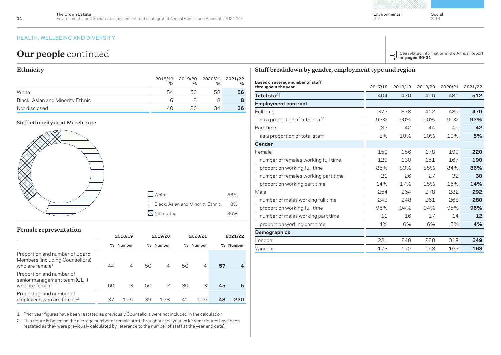## **Our people** continued

### **Ethnicity**

|                                  | 2018/19<br>$\%$ | 2019/20 2020/21 2021/22<br>$\frac{1}{2}$ | $\%$ | %  |
|----------------------------------|-----------------|------------------------------------------|------|----|
| White                            | 54              | 56                                       | 58   | 56 |
| Black, Asian and Minority Ethnic |                 |                                          |      |    |
| Not disclosed                    | 40              | 36                                       | 34   | 36 |

### **Staff ethnicity as at March 2022**



### **Female representation**

|                                                                                                  |    | 2018/19        |    | 2019/20       | 2020/21 |          | 2021/22 |          |
|--------------------------------------------------------------------------------------------------|----|----------------|----|---------------|---------|----------|---------|----------|
|                                                                                                  |    | % Number       |    | % Number      |         | % Number |         | % Number |
| Proportion and number of Board<br>Members (including Counsellors)<br>who are female <sup>1</sup> | 44 | $\overline{4}$ | 50 | 4             | 50      | 4        | 57      |          |
| Proportion and number of<br>senior management team (GLT)<br>who are female                       | 60 | З              | 50 | $\mathcal{P}$ | 30      | З        | 45      | 5        |
| Proportion and number of<br>employees who are female <sup>2</sup>                                | 37 | 156            | 39 | 178           | 41      | 199      |         | 220      |

1 Prior year figures have been restated as previously Counsellors were not included in the calculation.

2 This figure is based on the average number of female staff throughout the year (prior year figures have been restated as they were previously calculated by reference to the number of staff at the year end date).

| Staff breakdown by gender, employment type and region |  |  |
|-------------------------------------------------------|--|--|
|                                                       |  |  |

| Based on average number of staff    |         |         |         |         |         |
|-------------------------------------|---------|---------|---------|---------|---------|
| throughout the year                 | 2017/18 | 2018/19 | 2019/20 | 2020/21 | 2021/22 |
| <b>Total staff</b>                  | 404     | 420     | 456     | 481     | 512     |
| <b>Employment contract</b>          |         |         |         |         |         |
| Full time                           | 372     | 378     | 412     | 435     | 470     |
| as a proportion of total staff      | 92%     | 90%     | 90%     | 90%     | 92%     |
| Part time                           | 32      | 42      | 44      | 46      | 42      |
| as a proportion of total staff      | 8%      | 10%     | 10%     | 10%     | 8%      |
| Gender                              |         |         |         |         |         |
| Female                              | 150     | 156     | 178     | 199     | 220     |
| number of females working full time | 129     | 130     | 151     | 167     | 190     |
| proportion working full time        | 86%     | 83%     | 85%     | 84%     | 86%     |
| number of females working part time | 21      | 26      | 27      | 32      | 30      |
| proportion working part time        | 14%     | 17%     | 15%     | 16%     | 14%     |
| Male                                | 254     | 264     | 278     | 282     | 292     |
| number of males working full time   | 243     | 248     | 261     | 268     | 280     |
| proportion working full time        | 96%     | 94%     | 94%     | 95%     | 96%     |
| number of males working part time   | 11      | 16      | 17      | 14      | 12      |
| proportion working part time        | 4%      | 6%      | 6%      | 5%      | 4%      |
| Demographics                        |         |         |         |         |         |
| London                              | 231     | 248     | 288     | 319     | 349     |
| Windsor                             | 173     | 172     | 168     | 162     | 163     |

 $2 - 7$ 

Social 8-14

[See related information in the Annual Report](https://thecrownestate.co.uk/Annual-Report-2022) on **pages 30-31**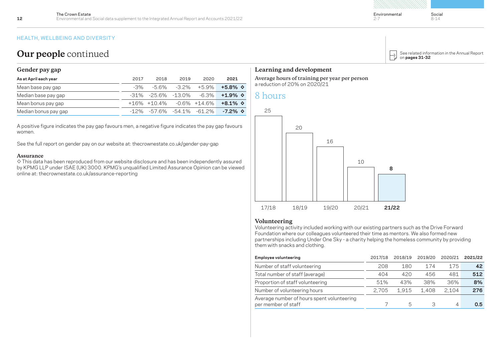### **Our people** continued

### **Gender pay gap**

| As at April each year | 2017   | 2018                         | 2019 | 2020 | 2021                                                     |
|-----------------------|--------|------------------------------|------|------|----------------------------------------------------------|
| Mean base pay gap     | $-3\%$ |                              |      |      | $-5.6\%$ $-3.2\%$ $+5.9\%$ $+5.8\%$ $\diamond$           |
| Median base pay gap   |        |                              |      |      | $-31\%$ $-25.6\%$ $-13.0\%$ $-6.3\%$ $+1.9\%$ $\diamond$ |
| Mean bonus pay gap    |        |                              |      |      | $+16\% +10.4\% -0.6\% +14.6\% +8.1\%$                    |
| Median bonus pay gap  |        | $-12\% -576\% -541\% -612\%$ |      |      | $-7.2\%$ $\diamond$                                      |

A positive figure indicates the pay gap favours men, a negative figure indicates the pay gap favours women.

See the full report on gender pay on our website at: t[hecrownestate.co.uk/gender-pay-gap](https://www.thecrownestate.co.uk/gender-pay-gap/)

#### **Assurance**

◊ This data has been reproduced from our website disclosure and has been independently assured by KPMG LLP under ISAE (UK) 3000. KPMG's unqualified Limited Assurance Opinion can be viewed online at: [thecrownestate.co.uk/assurance-reporting](https://www.thecrownestate.co.uk/annual-report-2022/assurance)

### **Learning and development**

**Average hours of training per year per person** a reduction of 20% on 2020/21

### 8 hours



### **Volunteering**

Volunteering activity included working with our existing partners such as the Drive Forward Foundation where our colleagues volunteered their time as mentors. We also formed new partnerships including Under One Sky - a charity helping the homeless community by providing them with snacks and clothing.

| <b>Employee volunteering</b>                                      | 2017/18 | 2018/19 | 2019/20 | 2020/21 | 2021/22 |
|-------------------------------------------------------------------|---------|---------|---------|---------|---------|
| Number of staff volunteering                                      | 208     | 180     | 174     | 175     | 42      |
| Total number of staff (average)                                   | 404     | 420     | 456     | 481     | 512     |
| Proportion of staff volunteering                                  | 51%     | 43%     | 38%     | 36%     | 8%      |
| Number of volunteering hours                                      | 2.705   | 1.915   | 1.408   | 2.104   | 276     |
| Average number of hours spent volunteering<br>per member of staff |         | 5       | З       | 4       | 0.5     |

 $\mapsto$ 

2-7

[See related information in the Annual Report](https://thecrownestate.co.uk/Annual-Report-2022)

on **pages 31-32**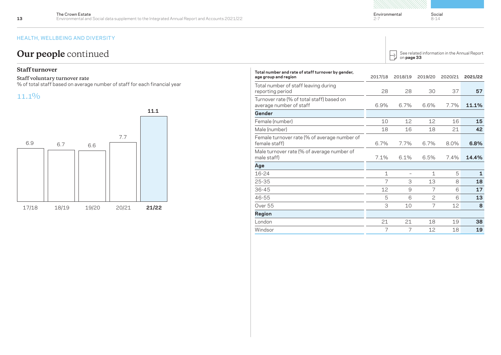# **Our people** continued

### **Staff turnover**

#### **Staff voluntary turnover rate**

% of total staff based on average number of staff for each financial year

### 11.1%



| Total number and rate of staff turnover by gender,<br>age group and region | 2017/18     | 2018/19 | 2019/20        | 2020/21 | 2021/22 |
|----------------------------------------------------------------------------|-------------|---------|----------------|---------|---------|
| Total number of staff leaving during<br>reporting period                   | 28          | 28      | 30             | 37      | 57      |
| Turnover rate (% of total staff) based on<br>average number of staff       | 6.9%        | 6.7%    | 6.6%           | 7.7%    | 11.1%   |
| Gender                                                                     |             |         |                |         |         |
| Female (number)                                                            | 10          | 12      | 12             | 16      | 15      |
| Male (number)                                                              | 18          | 16      | 18             | 21      | 42      |
| Female turnover rate (% of average number of<br>female staff)              | 6.7%        | 7.7%    | 6.7%           | 8.0%    | 6.8%    |
| Male turnover rate (% of average number of<br>male staff)                  | 7.1%        | 6.1%    | 6.5%           | 7.4%    | 14.4%   |
| Age                                                                        |             |         |                |         |         |
| 16-24                                                                      | $\mathbf 1$ |         | 1              | 5       | 1       |
| 25-35                                                                      | 7           | 3       | 13             | 8       | 18      |
| $36 - 45$                                                                  | 12          | 9       | $\overline{7}$ | 6       | 17      |
| 46-55                                                                      | 5           | 6       | $\mathbf{2}$   | 6       | 13      |
| Over 55                                                                    | 3           | 10      | $\overline{7}$ | 12      | 8       |
| Region                                                                     |             |         |                |         |         |
| London                                                                     | 21          | 21      | 18             | 19      | 38      |
| Windsor                                                                    | 7           | 7       | 12             | 18      | 19      |

#### [See related information in the Annual Report](https://thecrownestate.co.uk/Annual-Report-2022)  $\mapsto$ on **page 33**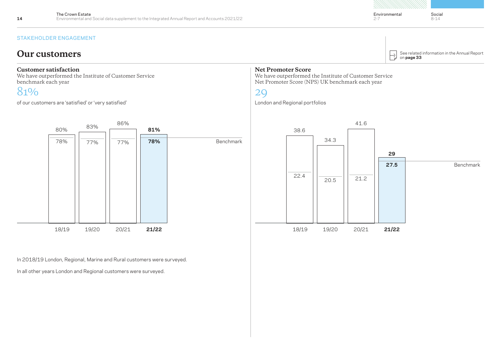STAKEHOLDER ENGAGEMENT

### **Our customers**

### **Customer satisfaction**

We have outperformed the Institute of Customer Service benchmark each year

# 81%

of our customers are 'satisfied' or 'very satisfied'



In 2018/19 London, Regional, Marine and Rural customers were surveyed.

In all other years London and Regional customers were surveyed.

### **Net Promoter Score**

We have outperformed the Institute of Customer Service Net Promoter Score (NPS) UK benchmark each year

29

London and Regional portfolios



 $\mapsto$ 

 $2 - 7$ 

on **page 33**

[See related information in the Annual Report](https://thecrownestate.co.uk/Annual-Report-2022)